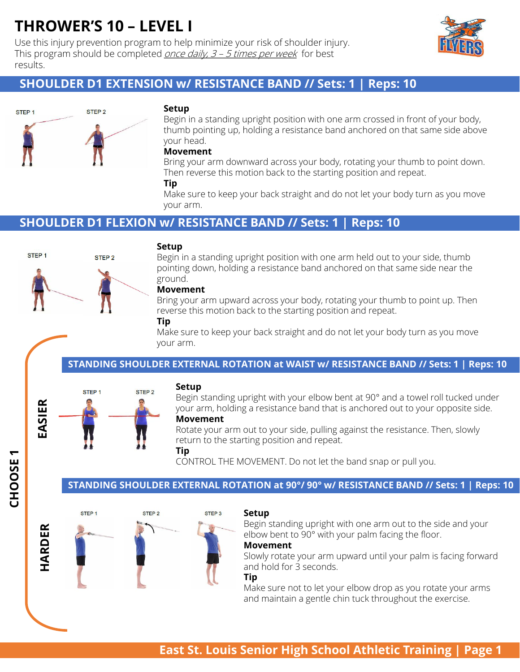Use this injury prevention program to help minimize your risk of shoulder injury. This program should be completed *once daily,*  $3 - 5$  *times per week* for best results.



# **SHOULDER D1 EXTENSION w/ RESISTANCE BAND // Sets: 1 | Reps: 10**



#### **Setup**

Begin in a standing upright position with one arm crossed in front of your body, thumb pointing up, holding a resistance band anchored on that same side above your head.

#### **Movement**

Bring your arm downward across your body, rotating your thumb to point down. Then reverse this motion back to the starting position and repeat.

#### **Tip**

Make sure to keep your back straight and do not let your body turn as you move your arm.

# **SHOULDER D1 FLEXION w/ RESISTANCE BAND // Sets: 1 | Reps: 10**



#### **Setup**

Begin in a standing upright position with one arm held out to your side, thumb pointing down, holding a resistance band anchored on that same side near the ground.

#### **Movement**

Bring your arm upward across your body, rotating your thumb to point up. Then reverse this motion back to the starting position and repeat.

#### **Tip**

Make sure to keep your back straight and do not let your body turn as you move your arm.

#### **STANDING SHOULDER EXTERNAL ROTATION at WAIST w/ RESISTANCE BAND // Sets: 1 | Reps: 10**



**CHOOSE 1**

#### **Setup**

Begin standing upright with your elbow bent at 90° and a towel roll tucked under your arm, holding a resistance band that is anchored out to your opposite side.

#### **Movement**

Rotate your arm out to your side, pulling against the resistance. Then, slowly return to the starting position and repeat.

**Tip**

CONTROL THE MOVEMENT. Do not let the band snap or pull you.

#### **STANDING SHOULDER EXTERNAL ROTATION at 90°/ 90° w/ RESISTANCE BAND // Sets: 1 | Reps: 10**



#### **Setup**

Begin standing upright with one arm out to the side and your elbow bent to 90° with your palm facing the floor.

#### **Movement**

Slowly rotate your arm upward until your palm is facing forward and hold for 3 seconds.

#### **Tip**

Make sure not to let your elbow drop as you rotate your arms and maintain a gentle chin tuck throughout the exercise.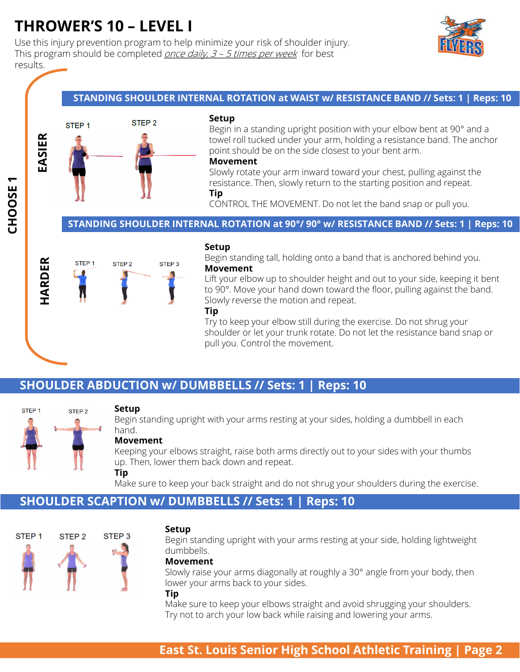Use this injury prevention program to help minimize your risk of shoulder injury. This program should be completed *once daily,*  $3 - 5$  *times per week* for best results.



#### **STANDING SHOULDER INTERNAL ROTATION at WAIST w/ RESISTANCE BAND // Sets: 1 | Reps: 10**



#### **Setup**

Begin in a standing upright position with your elbow bent at 90° and a towel roll tucked under your arm, holding a resistance band. The anchor point should be on the side closest to your bent arm.

#### **Movement**

Slowly rotate your arm inward toward your chest, pulling against the resistance. Then, slowly return to the starting position and repeat. **Tip**

CONTROL THE MOVEMENT. Do not let the band snap or pull you.

#### **STANDING SHOULDER INTERNAL ROTATION at 90°/ 90° w/ RESISTANCE BAND // Sets: 1 | Reps: 10**



#### **Setup**

Begin standing tall, holding onto a band that is anchored behind you. **Movement**

Lift your elbow up to shoulder height and out to your side, keeping it bent to 90°. Move your hand down toward the floor, pulling against the band. Slowly reverse the motion and repeat.

#### **Tip**

Try to keep your elbow still during the exercise. Do not shrug your shoulder or let your trunk rotate. Do not let the resistance band snap or pull you. Control the movement.

# **SHOULDER ABDUCTION w/ DUMBBELLS // Sets: 1 | Reps: 10**



#### **Setup**

Begin standing upright with your arms resting at your sides, holding a dumbbell in each hand.

#### **Movement**

Keeping your elbows straight, raise both arms directly out to your sides with your thumbs up. Then, lower them back down and repeat. **Tip**

Make sure to keep your back straight and do not shrug your shoulders during the exercise.

# **SHOULDER SCAPTION w/ DUMBBELLS // Sets: 1 | Reps: 10**



#### **Setup**

Begin standing upright with your arms resting at your side, holding lightweight dumbbells.

#### **Movement**

Slowly raise your arms diagonally at roughly a 30° angle from your body, then lower your arms back to your sides.

#### **Tip**

Make sure to keep your elbows straight and avoid shrugging your shoulders. Try not to arch your low back while raising and lowering your arms.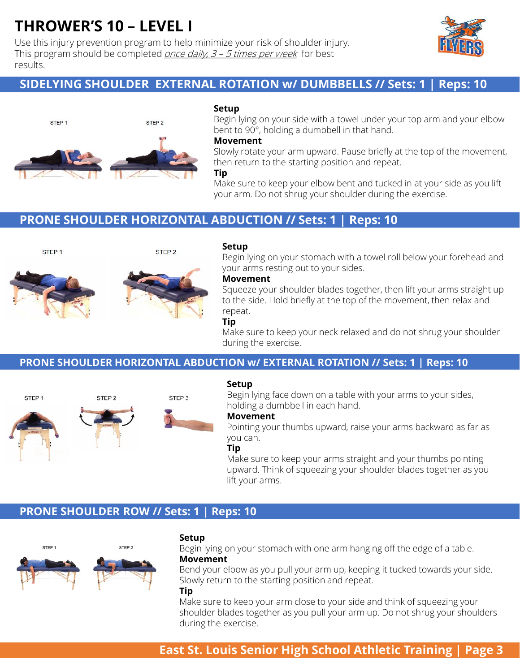Use this injury prevention program to help minimize your risk of shoulder injury. This program should be completed *once daily,*  $3 - 5$  *times per week* for best results.



# **SIDELYING SHOULDER EXTERNAL ROTATION w/ DUMBBELLS // Sets: 1 | Reps: 10**



#### **Setup**

Begin lying on your side with a towel under your top arm and your elbow bent to 90°, holding a dumbbell in that hand.

#### **Movement**

Slowly rotate your arm upward. Pause briefly at the top of the movement, then return to the starting position and repeat.

#### **Tip**

Make sure to keep your elbow bent and tucked in at your side as you lift your arm. Do not shrug your shoulder during the exercise.

# **PRONE SHOULDER HORIZONTAL ABDUCTION // Sets: 1 | Reps: 10**



STEP<sub>1</sub>



STEP<sub>2</sub>

#### **Setup**

Begin lying on your stomach with a towel roll below your forehead and your arms resting out to your sides.

#### **Movement**

Squeeze your shoulder blades together, then lift your arms straight up to the side. Hold briefly at the top of the movement, then relax and repeat.

#### **Tip**

Make sure to keep your neck relaxed and do not shrug your shoulder during the exercise.

#### **PRONE SHOULDER HORIZONTAL ABDUCTION w/ EXTERNAL ROTATION // Sets: 1 | Reps: 10**



#### **Setup**

Begin lying face down on a table with your arms to your sides, holding a dumbbell in each hand.

#### **Movement**

Pointing your thumbs upward, raise your arms backward as far as you can.

#### **Tip**

Make sure to keep your arms straight and your thumbs pointing upward. Think of squeezing your shoulder blades together as you lift your arms.

### **PRONE SHOULDER ROW // Sets: 1 | Reps: 10**



#### **Setup**

Begin lying on your stomach with one arm hanging off the edge of a table.

### **Movement**

Bend your elbow as you pull your arm up, keeping it tucked towards your side. Slowly return to the starting position and repeat.

#### **Tip**

Make sure to keep your arm close to your side and think of squeezing your shoulder blades together as you pull your arm up. Do not shrug your shoulders during the exercise.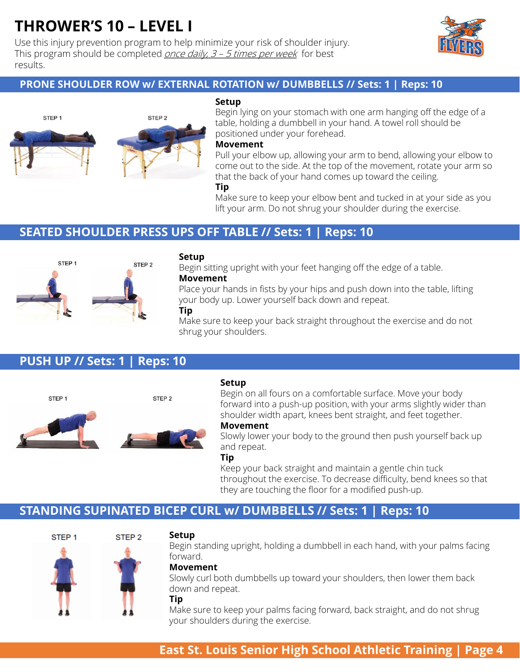Use this injury prevention program to help minimize your risk of shoulder injury. This program should be completed *once daily,*  $3 - 5$  *times per week* for best results.



### **PRONE SHOULDER ROW w/ EXTERNAL ROTATION w/ DUMBBELLS // Sets: 1 | Reps: 10**



#### **Setup**

Begin lying on your stomach with one arm hanging off the edge of a table, holding a dumbbell in your hand. A towel roll should be positioned under your forehead.

#### **Movement**

Pull your elbow up, allowing your arm to bend, allowing your elbow to come out to the side. At the top of the movement, rotate your arm so that the back of your hand comes up toward the ceiling.

**Tip**

Make sure to keep your elbow bent and tucked in at your side as you lift your arm. Do not shrug your shoulder during the exercise.

### **SEATED SHOULDER PRESS UPS OFF TABLE // Sets: 1 | Reps: 10**



#### **Setup**

Begin sitting upright with your feet hanging off the edge of a table. **Movement**

Place your hands in fists by your hips and push down into the table, lifting your body up. Lower yourself back down and repeat.

#### **Tip**

Make sure to keep your back straight throughout the exercise and do not shrug your shoulders.

# **PUSH UP // Sets: 1 | Reps: 10**



#### **Setup**

Begin on all fours on a comfortable surface. Move your body forward into a push-up position, with your arms slightly wider than shoulder width apart, knees bent straight, and feet together.

#### **Movement**

Slowly lower your body to the ground then push yourself back up and repeat.

#### **Tip**

Keep your back straight and maintain a gentle chin tuck throughout the exercise. To decrease difficulty, bend knees so that they are touching the floor for a modified push-up.

# **STANDING SUPINATED BICEP CURL w/ DUMBBELLS // Sets: 1 | Reps: 10**



#### **Setup**

Begin standing upright, holding a dumbbell in each hand, with your palms facing forward.

#### **Movement**

Slowly curl both dumbbells up toward your shoulders, then lower them back down and repeat.

#### **Tip**

Make sure to keep your palms facing forward, back straight, and do not shrug your shoulders during the exercise.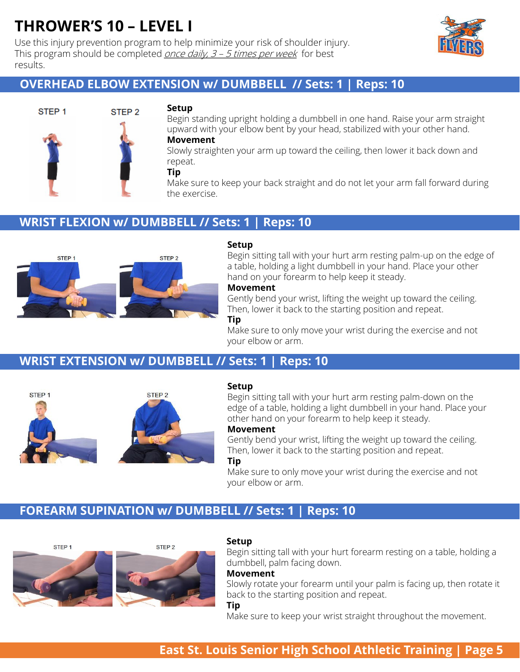Use this injury prevention program to help minimize your risk of shoulder injury. This program should be completed *once daily,*  $3 - 5$  *times per week* for best results.



# **OVERHEAD ELBOW EXTENSION w/ DUMBBELL // Sets: 1 | Reps: 10**



#### **Setup**

Begin standing upright holding a dumbbell in one hand. Raise your arm straight upward with your elbow bent by your head, stabilized with your other hand. **Movement**

Slowly straighten your arm up toward the ceiling, then lower it back down and repeat.

#### **Tip**

Make sure to keep your back straight and do not let your arm fall forward during the exercise.

# **WRIST FLEXION w/ DUMBBELL // Sets: 1 | Reps: 10**



#### **Setup**

Begin sitting tall with your hurt arm resting palm-up on the edge of a table, holding a light dumbbell in your hand. Place your other hand on your forearm to help keep it steady.

#### **Movement**

Gently bend your wrist, lifting the weight up toward the ceiling. Then, lower it back to the starting position and repeat.

#### **Tip**

Make sure to only move your wrist during the exercise and not your elbow or arm.

# **WRIST EXTENSION w/ DUMBBELL // Sets: 1 | Reps: 10**



#### **Setup**

Begin sitting tall with your hurt arm resting palm-down on the edge of a table, holding a light dumbbell in your hand. Place your other hand on your forearm to help keep it steady.

### **Movement**

Gently bend your wrist, lifting the weight up toward the ceiling. Then, lower it back to the starting position and repeat.

#### **Tip**

Make sure to only move your wrist during the exercise and not your elbow or arm.

# **FOREARM SUPINATION w/ DUMBBELL // Sets: 1 | Reps: 10**





#### **Setup**

Begin sitting tall with your hurt forearm resting on a table, holding a dumbbell, palm facing down.

#### **Movement**

Slowly rotate your forearm until your palm is facing up, then rotate it back to the starting position and repeat.

#### **Tip**

Make sure to keep your wrist straight throughout the movement.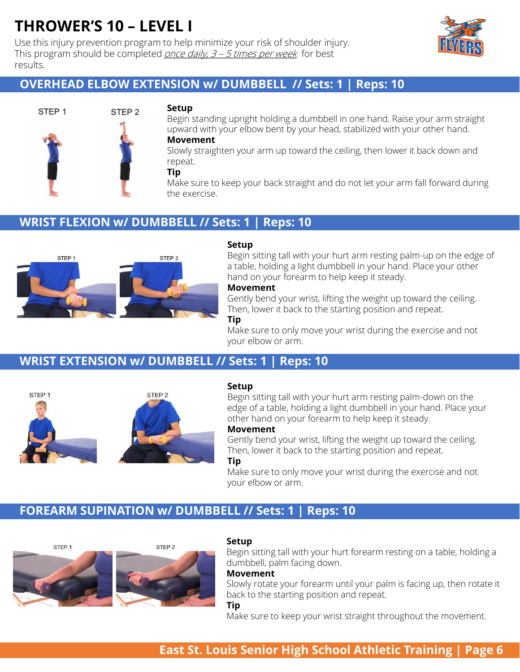Use this injury prevention program to help minimize your risk of shoulder injury. This program should be completed *once daily,*  $3 - 5$  *times per week* for best results.



# **OVERHEAD ELBOW EXTENSION w/ DUMBBELL // Sets: 1 | Reps: 10**



#### **Setup**

Begin standing upright holding a dumbbell in one hand. Raise your arm straight upward with your elbow bent by your head, stabilized with your other hand.

### **Movement**

Slowly straighten your arm up toward the ceiling, then lower it back down and repeat.

#### **Tip**

Make sure to keep your back straight and do not let your arm fall forward during the exercise.

### **WRIST FLEXION w/ DUMBBELL // Sets: 1 | Reps: 10**



#### **Setup**

Begin sitting tall with your hurt arm resting palm-up on the edge of a table, holding a light dumbbell in your hand. Place your other hand on your forearm to help keep it steady.

#### **Movement**

Gently bend your wrist, lifting the weight up toward the ceiling. Then, lower it back to the starting position and repeat.

#### **Tip**

Make sure to only move your wrist during the exercise and not your elbow or arm.

# **WRIST EXTENSION w/ DUMBBELL // Sets: 1 | Reps: 10**



#### **Setup**

Begin sitting tall with your hurt arm resting palm-down on the edge of a table, holding a light dumbbell in your hand. Place your other hand on your forearm to help keep it steady.

### **Movement**

Gently bend your wrist, lifting the weight up toward the ceiling. Then, lower it back to the starting position and repeat.

#### **Tip**

Make sure to only move your wrist during the exercise and not your elbow or arm.

# **FOREARM SUPINATION w/ DUMBBELL // Sets: 1 | Reps: 10**





#### **Setup**

Begin sitting tall with your hurt forearm resting on a table, holding a dumbbell, palm facing down.

#### **Movement**

Slowly rotate your forearm until your palm is facing up, then rotate it back to the starting position and repeat.

#### **Tip**

Make sure to keep your wrist straight throughout the movement.